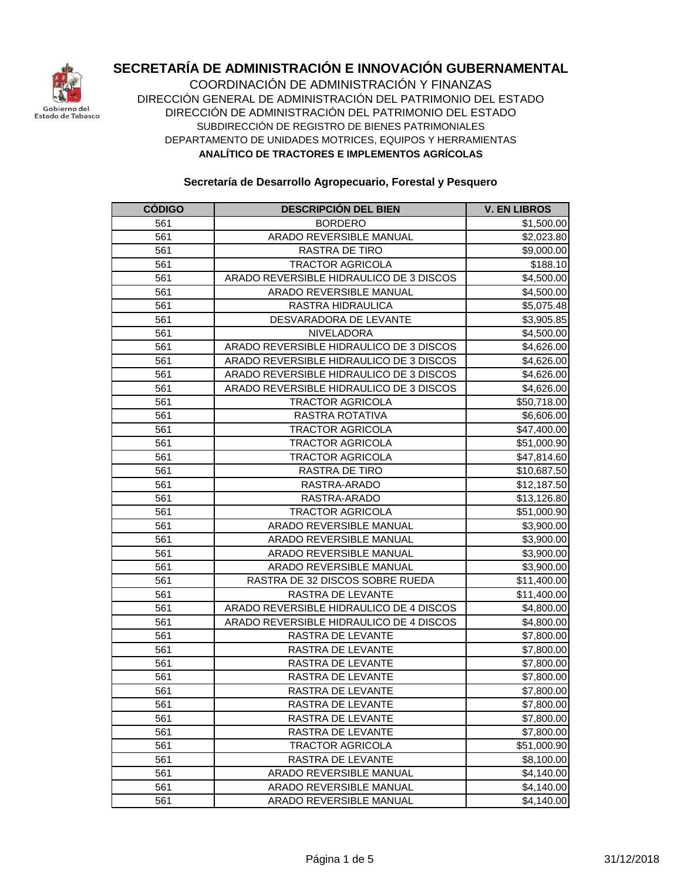

COORDINACIÓN DE ADMINISTRACIÓN Y FINANZAS DIRECCIÓN GENERAL DE ADMINISTRACIÓN DEL PATRIMONIO DEL ESTADO DIRECCIÓN DE ADMINISTRACIÓN DEL PATRIMONIO DEL ESTADO DEPARTAMENTO DE UNIDADES MOTRICES, EQUIPOS Y HERRAMIENTAS **ANALÍTICO DE TRACTORES E IMPLEMENTOS AGRÍCOLAS** SUBDIRECCIÓN DE REGISTRO DE BIENES PATRIMONIALES

| <b>CODIGO</b> | <b>DESCRIPCIÓN DEL BIEN</b>             | <b>V. EN LIBROS</b>    |
|---------------|-----------------------------------------|------------------------|
| 561           | <b>BORDERO</b>                          | \$1,500.00             |
| 561           | ARADO REVERSIBLE MANUAL                 | \$2,023.80             |
| 561           | RASTRA DE TIRO                          | \$9,000.00             |
| 561           | <b>TRACTOR AGRICOLA</b>                 | \$188.10               |
| 561           | ARADO REVERSIBLE HIDRAULICO DE 3 DISCOS | \$4,500.00             |
| 561           | ARADO REVERSIBLE MANUAL                 | \$4,500.00             |
| 561           | RASTRA HIDRAULICA                       | \$5,075.48             |
| 561           | DESVARADORA DE LEVANTE                  | \$3,905.85             |
| 561           | NIVELADORA                              | \$4,500.00             |
| 561           | ARADO REVERSIBLE HIDRAULICO DE 3 DISCOS | \$4,626.00             |
| 561           | ARADO REVERSIBLE HIDRAULICO DE 3 DISCOS | \$4,626.00             |
| 561           | ARADO REVERSIBLE HIDRAULICO DE 3 DISCOS | \$4,626.00             |
| 561           | ARADO REVERSIBLE HIDRAULICO DE 3 DISCOS | \$4,626.00             |
| 561           | <b>TRACTOR AGRICOLA</b>                 | \$50,718.00            |
| 561           | RASTRA ROTATIVA                         | \$6,606.00             |
| 561           | <b>TRACTOR AGRICOLA</b>                 | \$47,400.00            |
| 561           | <b>TRACTOR AGRICOLA</b>                 | \$51,000.90            |
| 561           | <b>TRACTOR AGRICOLA</b>                 | \$47,814.60            |
| 561           | <b>RASTRA DE TIRO</b>                   | \$10,687.50            |
| 561           | RASTRA-ARADO                            | \$12,187.50            |
| 561           | RASTRA-ARADO                            | \$13,126.80            |
| 561           | <b>TRACTOR AGRICOLA</b>                 | \$51,000.90            |
| 561           | ARADO REVERSIBLE MANUAL                 | \$3,900.00             |
| 561           | ARADO REVERSIBLE MANUAL                 | \$3,900.00             |
| 561           | ARADO REVERSIBLE MANUAL                 | \$3,900.00             |
| 561           | ARADO REVERSIBLE MANUAL                 | \$3,900.00             |
| 561           | RASTRA DE 32 DISCOS SOBRE RUEDA         | \$11,400.00            |
| 561           | RASTRA DE LEVANTE                       | \$11,400.00            |
| 561           | ARADO REVERSIBLE HIDRAULICO DE 4 DISCOS | \$4,800.00             |
| 561           | ARADO REVERSIBLE HIDRAULICO DE 4 DISCOS | \$4,800.00             |
| 561           | <b>RASTRA DE LEVANTE</b>                | \$7,800.00             |
| 561           | RASTRA DE LEVANTE                       | \$7,800.00             |
| 561           | RASTRA DE LEVANTE                       | \$7,800.00             |
| 561           | RASTRA DE LEVANTE                       | \$7,800.00             |
| 561           | RASTRA DE LEVANTE                       | \$7,800.00             |
| 561           | RASTRA DE LEVANTE                       | \$7,800.00             |
| 561           | RASTRA DE LEVANTE                       | \$7,800.00             |
| 561           | RASTRA DE LEVANTE                       | \$7,800.00             |
| 561           | <b>TRACTOR AGRICOLA</b>                 | \$51,000.90            |
| 561           | RASTRA DE LEVANTE                       | \$8,100.00             |
| 561           | ARADO REVERSIBLE MANUAL                 | \$4,140.00             |
| 561           | ARADO REVERSIBLE MANUAL                 | \$4,140.00             |
| 561           | ARADO REVERSIBLE MANUAL                 | $\overline{$4,140.00}$ |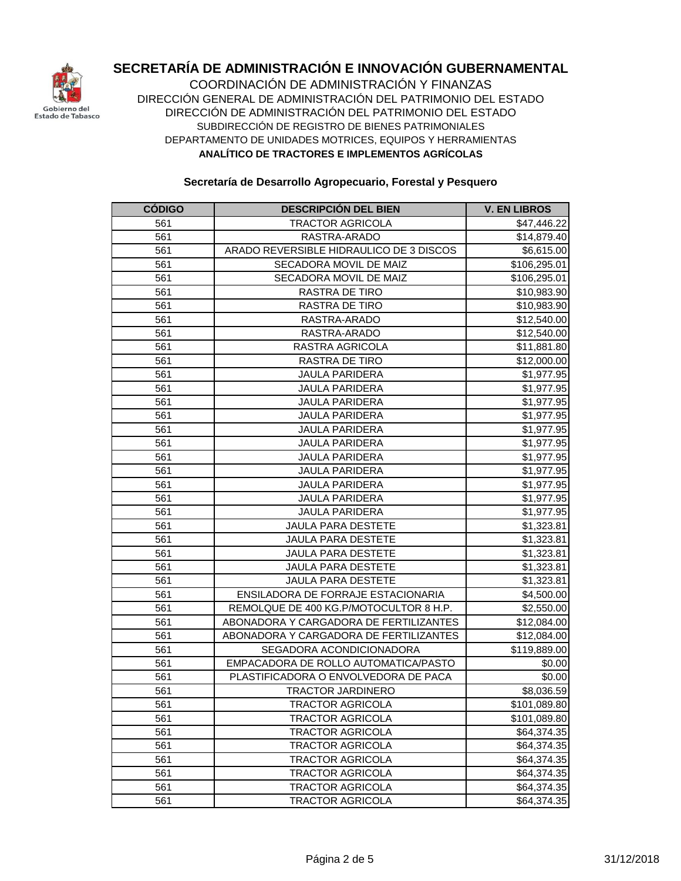

COORDINACIÓN DE ADMINISTRACIÓN Y FINANZAS DIRECCIÓN GENERAL DE ADMINISTRACIÓN DEL PATRIMONIO DEL ESTADO DIRECCIÓN DE ADMINISTRACIÓN DEL PATRIMONIO DEL ESTADO DEPARTAMENTO DE UNIDADES MOTRICES, EQUIPOS Y HERRAMIENTAS **ANALÍTICO DE TRACTORES E IMPLEMENTOS AGRÍCOLAS** SUBDIRECCIÓN DE REGISTRO DE BIENES PATRIMONIALES

| <b>CÓDIGO</b> | <b>DESCRIPCIÓN DEL BIEN</b>             | <b>V. EN LIBROS</b> |
|---------------|-----------------------------------------|---------------------|
| 561           | <b>TRACTOR AGRICOLA</b>                 | \$47,446.22         |
| 561           | RASTRA-ARADO                            | \$14,879.40         |
| 561           | ARADO REVERSIBLE HIDRAULICO DE 3 DISCOS | \$6,615.00          |
| 561           | SECADORA MOVIL DE MAIZ                  | \$106,295.01        |
| 561           | SECADORA MOVIL DE MAIZ                  | \$106,295.01        |
| 561           | RASTRA DE TIRO                          | \$10,983.90         |
| 561           | RASTRA DE TIRO                          | \$10,983.90         |
| 561           | RASTRA-ARADO                            | \$12,540.00         |
| 561           | RASTRA-ARADO                            | \$12,540.00         |
| 561           | RASTRA AGRICOLA                         | \$11,881.80         |
| 561           | RASTRA DE TIRO                          | \$12,000.00         |
| 561           | <b>JAULA PARIDERA</b>                   | \$1,977.95          |
| 561           | <b>JAULA PARIDERA</b>                   | \$1,977.95          |
| 561           | <b>JAULA PARIDERA</b>                   | \$1,977.95          |
| 561           | <b>JAULA PARIDERA</b>                   | \$1,977.95          |
| 561           | <b>JAULA PARIDERA</b>                   | \$1,977.95          |
| 561           | <b>JAULA PARIDERA</b>                   | \$1,977.95          |
| 561           | <b>JAULA PARIDERA</b>                   | \$1,977.95          |
| 561           | <b>JAULA PARIDERA</b>                   | \$1,977.95          |
| 561           | <b>JAULA PARIDERA</b>                   | \$1,977.95          |
| 561           | <b>JAULA PARIDERA</b>                   | \$1,977.95          |
| 561           | <b>JAULA PARIDERA</b>                   | \$1,977.95          |
| 561           | <b>JAULA PARA DESTETE</b>               | \$1,323.81          |
| 561           | <b>JAULA PARA DESTETE</b>               | \$1,323.81          |
| 561           | <b>JAULA PARA DESTETE</b>               | \$1,323.81          |
| 561           | <b>JAULA PARA DESTETE</b>               | \$1,323.81          |
| 561           | <b>JAULA PARA DESTETE</b>               | \$1,323.81          |
| 561           | ENSILADORA DE FORRAJE ESTACIONARIA      | \$4,500.00          |
| 561           | REMOLQUE DE 400 KG.P/MOTOCULTOR 8 H.P.  | \$2,550.00          |
| 561           | ABONADORA Y CARGADORA DE FERTILIZANTES  | \$12,084.00         |
| 561           | ABONADORA Y CARGADORA DE FERTILIZANTES  | \$12,084.00         |
| 561           | SEGADORA ACONDICIONADORA                | \$119,889.00        |
| 561           | EMPACADORA DE ROLLO AUTOMATICA/PASTO    | \$0.00              |
| 561           | PLASTIFICADORA O ENVOLVEDORA DE PACA    | \$0.00              |
| 561           | <b>TRACTOR JARDINERO</b>                | \$8,036.59          |
| 561           | <b>TRACTOR AGRICOLA</b>                 | \$101,089.80        |
| 561           | <b>TRACTOR AGRICOLA</b>                 | \$101,089.80        |
| 561           | <b>TRACTOR AGRICOLA</b>                 | \$64,374.35         |
| 561           | <b>TRACTOR AGRICOLA</b>                 | \$64,374.35         |
| 561           | <b>TRACTOR AGRICOLA</b>                 | \$64,374.35         |
| 561           | <b>TRACTOR AGRICOLA</b>                 | \$64,374.35         |
| 561           | <b>TRACTOR AGRICOLA</b>                 | \$64,374.35         |
| 561           | <b>TRACTOR AGRICOLA</b>                 | \$64,374.35         |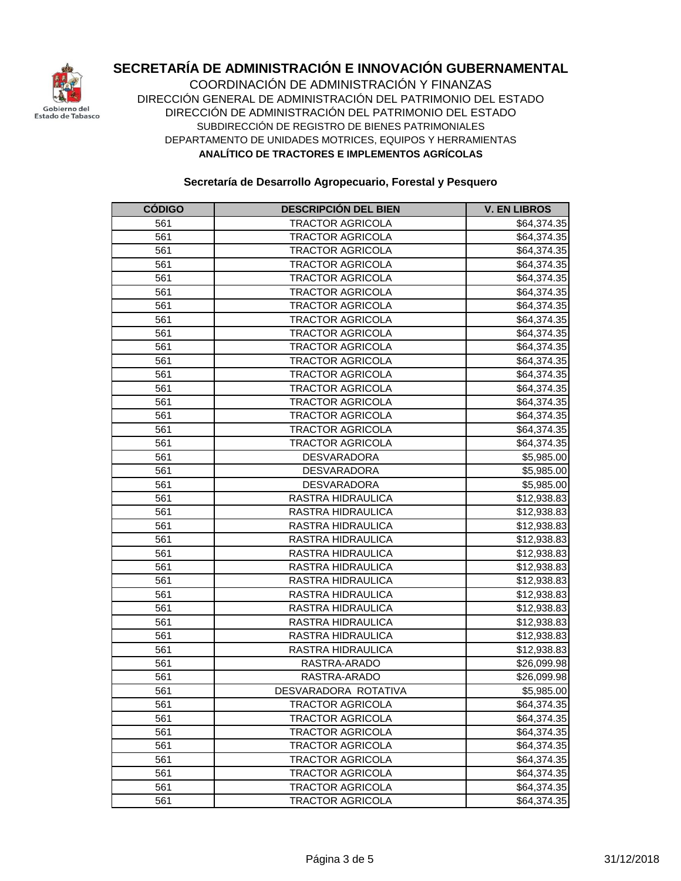

COORDINACIÓN DE ADMINISTRACIÓN Y FINANZAS DIRECCIÓN GENERAL DE ADMINISTRACIÓN DEL PATRIMONIO DEL ESTADO DIRECCIÓN DE ADMINISTRACIÓN DEL PATRIMONIO DEL ESTADO DEPARTAMENTO DE UNIDADES MOTRICES, EQUIPOS Y HERRAMIENTAS **ANALÍTICO DE TRACTORES E IMPLEMENTOS AGRÍCOLAS** SUBDIRECCIÓN DE REGISTRO DE BIENES PATRIMONIALES

| <b>CÓDIGO</b> | <b>DESCRIPCIÓN DEL BIEN</b> | <b>V. EN LIBROS</b>     |
|---------------|-----------------------------|-------------------------|
| 561           | <b>TRACTOR AGRICOLA</b>     | \$64,374.35             |
| 561           | <b>TRACTOR AGRICOLA</b>     | \$64,374.35             |
| 561           | <b>TRACTOR AGRICOLA</b>     | \$64,374.35             |
| 561           | <b>TRACTOR AGRICOLA</b>     | \$64,374.35             |
| 561           | <b>TRACTOR AGRICOLA</b>     | \$64,374.35             |
| 561           | <b>TRACTOR AGRICOLA</b>     | \$64,374.35             |
| 561           | <b>TRACTOR AGRICOLA</b>     | \$64,374.35             |
| 561           | <b>TRACTOR AGRICOLA</b>     | \$64,374.35             |
| 561           | <b>TRACTOR AGRICOLA</b>     | \$64,374.35             |
| 561           | <b>TRACTOR AGRICOLA</b>     | \$64,374.35             |
| 561           | <b>TRACTOR AGRICOLA</b>     | \$64,374.35             |
| 561           | <b>TRACTOR AGRICOLA</b>     | \$64,374.35             |
| 561           | <b>TRACTOR AGRICOLA</b>     | \$64,374.35             |
| 561           | TRACTOR AGRICOLA            | \$64,374.35             |
| 561           | <b>TRACTOR AGRICOLA</b>     | \$64,374.35             |
| 561           | <b>TRACTOR AGRICOLA</b>     | \$64,374.35             |
| 561           | TRACTOR AGRICOLA            | \$64,374.35             |
| 561           | <b>DESVARADORA</b>          | \$5,985.00              |
| 561           | <b>DESVARADORA</b>          | \$5,985.00              |
| 561           | DESVARADORA                 | \$5,985.00              |
| 561           | RASTRA HIDRAULICA           | \$12,938.83             |
| 561           | RASTRA HIDRAULICA           | \$12,938.83             |
| 561           | RASTRA HIDRAULICA           | \$12,938.83             |
| 561           | RASTRA HIDRAULICA           | \$12,938.83             |
| 561           | RASTRA HIDRAULICA           | \$12,938.83             |
| 561           | RASTRA HIDRAULICA           | \$12,938.83             |
| 561           | RASTRA HIDRAULICA           | \$12,938.83             |
| 561           | RASTRA HIDRAULICA           | \$12,938.83             |
| 561           | RASTRA HIDRAULICA           | \$12,938.83             |
| 561           | RASTRA HIDRAULICA           | \$12,938.83             |
| 561           | RASTRA HIDRAULICA           | \$12,938.83             |
| 561           | RASTRA HIDRAULICA           | \$12,938.83             |
| 561           | RASTRA-ARADO                | \$26,099.98             |
| 561           | RASTRA-ARADO                | \$26,099.98             |
| 561           | DESVARADORA ROTATIVA        | \$5,985.00              |
| 561           | TRACTOR AGRICOLA            | $\overline{$}64,374.35$ |
| 561           | <b>TRACTOR AGRICOLA</b>     | \$64,374.35             |
| 561           | <b>TRACTOR AGRICOLA</b>     | \$64,374.35             |
| 561           | <b>TRACTOR AGRICOLA</b>     | \$64,374.35             |
| 561           | <b>TRACTOR AGRICOLA</b>     | \$64,374.35             |
| 561           | <b>TRACTOR AGRICOLA</b>     | \$64,374.35             |
| 561           | <b>TRACTOR AGRICOLA</b>     | \$64,374.35             |
| 561           | <b>TRACTOR AGRICOLA</b>     | $\overline{$64,374.35}$ |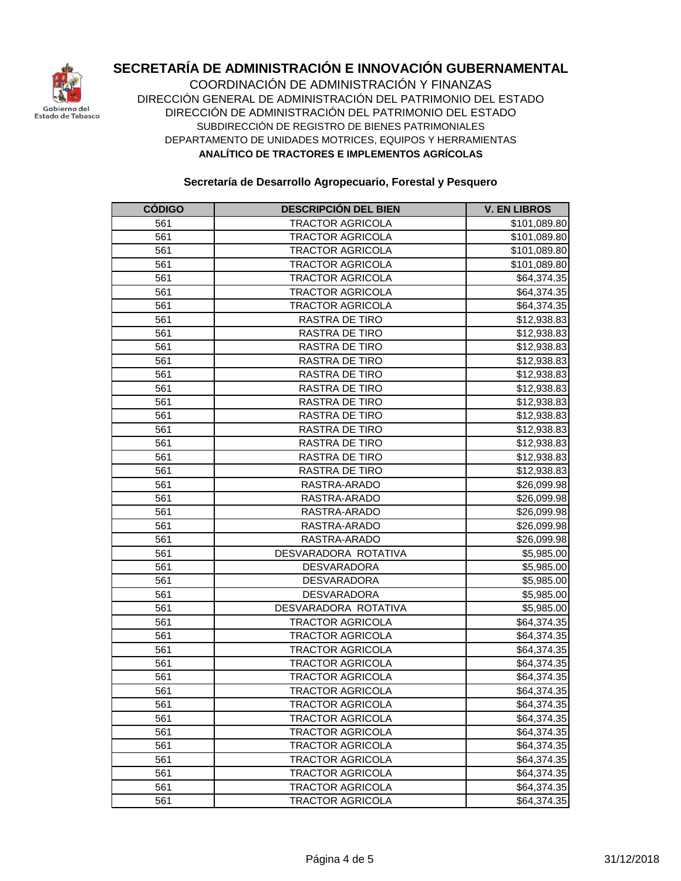

COORDINACIÓN DE ADMINISTRACIÓN Y FINANZAS DIRECCIÓN GENERAL DE ADMINISTRACIÓN DEL PATRIMONIO DEL ESTADO DIRECCIÓN DE ADMINISTRACIÓN DEL PATRIMONIO DEL ESTADO DEPARTAMENTO DE UNIDADES MOTRICES, EQUIPOS Y HERRAMIENTAS **ANALÍTICO DE TRACTORES E IMPLEMENTOS AGRÍCOLAS** SUBDIRECCIÓN DE REGISTRO DE BIENES PATRIMONIALES

| <b>CÓDIGO</b> | <b>DESCRIPCION DEL BIEN</b> | <b>V. EN LIBROS</b>     |
|---------------|-----------------------------|-------------------------|
| 561           | <b>TRACTOR AGRICOLA</b>     | \$101,089.80            |
| 561           | <b>TRACTOR AGRICOLA</b>     | \$101,089.80            |
| 561           | <b>TRACTOR AGRICOLA</b>     | \$101,089.80            |
| 561           | <b>TRACTOR AGRICOLA</b>     | \$101,089.80            |
| 561           | <b>TRACTOR AGRICOLA</b>     | \$64,374.35             |
| 561           | <b>TRACTOR AGRICOLA</b>     | \$64,374.35             |
| 561           | <b>TRACTOR AGRICOLA</b>     | \$64,374.35             |
| 561           | RASTRA DE TIRO              | \$12,938.83             |
| 561           | RASTRA DE TIRO              | \$12,938.83             |
| 561           | <b>RASTRA DE TIRO</b>       | \$12,938.83             |
| 561           | RASTRA DE TIRO              | \$12,938.83             |
| 561           | <b>RASTRA DE TIRO</b>       | \$12,938.83             |
| 561           | RASTRA DE TIRO              | \$12,938.83             |
| 561           | RASTRA DE TIRO              | \$12,938.83             |
| 561           | RASTRA DE TIRO              | \$12,938.83             |
| 561           | <b>RASTRA DE TIRO</b>       | \$12,938.83             |
| 561           | <b>RASTRA DE TIRO</b>       | \$12,938.83             |
| 561           | RASTRA DE TIRO              | \$12,938.83             |
| 561           | RASTRA DE TIRO              | \$12,938.83             |
| 561           | RASTRA-ARADO                | \$26,099.98             |
| 561           | RASTRA-ARADO                | \$26,099.98             |
| 561           | RASTRA-ARADO                | \$26,099.98             |
| 561           | RASTRA-ARADO                | \$26,099.98             |
| 561           | RASTRA-ARADO                | \$26,099.98             |
| 561           | DESVARADORA ROTATIVA        | \$5,985.00              |
| 561           | <b>DESVARADORA</b>          | \$5,985.00              |
| 561           | <b>DESVARADORA</b>          | \$5,985.00              |
| 561           | <b>DESVARADORA</b>          | \$5,985.00              |
| 561           | DESVARADORA ROTATIVA        | \$5,985.00              |
| 561           | <b>TRACTOR AGRICOLA</b>     | \$64,374.35             |
| 561           | <b>TRACTOR AGRICOLA</b>     | \$64,374.35             |
| 561           | <b>TRACTOR AGRICOLA</b>     | \$64,374.35             |
| 561           | <b>TRACTOR AGRICOLA</b>     | \$64,374.35             |
| 561           | <b>TRACTOR AGRICOLA</b>     | \$64,374.35             |
| 561           | <b>TRACTOR AGRICOLA</b>     | \$64,374.35             |
| 561           | TRACTOR AGRICOLA            | \$64,374.35             |
| 561           | <b>TRACTOR AGRICOLA</b>     | \$64,374.35             |
| 561           | <b>TRACTOR AGRICOLA</b>     | \$64,374.35             |
| 561           | <b>TRACTOR AGRICOLA</b>     | \$64,374.35             |
| 561           | <b>TRACTOR AGRICOLA</b>     | \$64,374.35             |
| 561           | <b>TRACTOR AGRICOLA</b>     | \$64,374.35             |
| 561           | <b>TRACTOR AGRICOLA</b>     | $\overline{$}64,374.35$ |
| 561           | <b>TRACTOR AGRICOLA</b>     | \$64,374.35             |